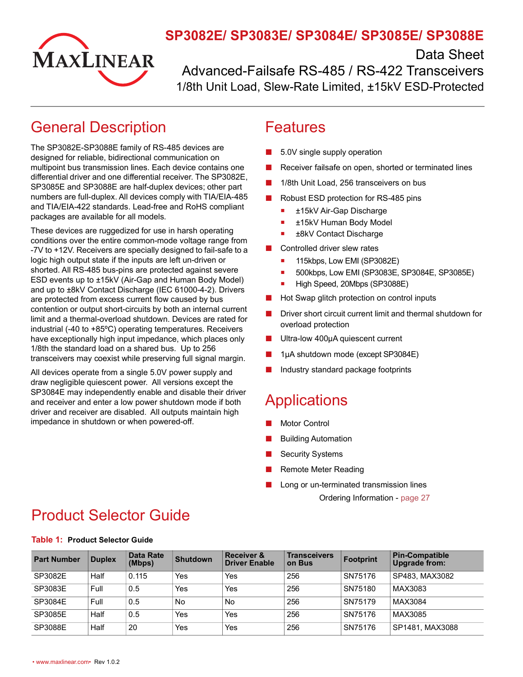

### **SP3082E/ SP3083E/ SP3084E/ SP3085E/ SP3088E**

Data Sheet

Advanced-Failsafe RS-485 / RS-422 Transceivers 1/8th Unit Load, Slew-Rate Limited, ±15kV ESD-Protected

# <span id="page-0-0"></span>General Description

The SP3082E-SP3088E family of RS-485 devices are designed for reliable, bidirectional communication on multipoint bus transmission lines. Each device contains one differential driver and one differential receiver. The SP3082E, SP3085E and SP3088E are half-duplex devices; other part numbers are full-duplex. All devices comply with TIA/EIA-485 and TIA/EIA-422 standards. Lead-free and RoHS compliant packages are available for all models.

These devices are ruggedized for use in harsh operating conditions over the entire common-mode voltage range from -7V to +12V. Receivers are specially designed to fail-safe to a logic high output state if the inputs are left un-driven or shorted. All RS-485 bus-pins are protected against severe ESD events up to ±15kV (Air-Gap and Human Body Model) and up to ±8kV Contact Discharge (IEC 61000-4-2). Drivers are protected from excess current flow caused by bus contention or output short-circuits by both an internal current limit and a thermal-overload shutdown. Devices are rated for industrial (-40 to +85ºC) operating temperatures. Receivers have exceptionally high input impedance, which places only 1/8th the standard load on a shared bus. Up to 256 transceivers may coexist while preserving full signal margin.

All devices operate from a single 5.0V power supply and draw negligible quiescent power. All versions except the SP3084E may independently enable and disable their driver and receiver and enter a low power shutdown mode if both driver and receiver are disabled. All outputs maintain high impedance in shutdown or when powered-off.

### <span id="page-0-1"></span>Features

- 5.0V single supply operation
- Receiver failsafe on open, shorted or terminated lines
- 1/8th Unit Load, 256 transceivers on bus
- Robust ESD protection for RS-485 pins
	- **E** ±15kV Air-Gap Discharge
	- ±15kV Human Body Model
	- ±8kV Contact Discharge
- Controlled driver slew rates
	- 115kbps, Low EMI (SP3082E)
	- **500kbps, Low EMI (SP3083E, SP3084E, SP3085E)**
	- High Speed, 20Mbps (SP3088E)
- Hot Swap glitch protection on control inputs
- Driver short circuit current limit and thermal shutdown for overload protection
- Ultra-low 400µA quiescent current
- 1µA shutdown mode (except SP3084E)
- Industry standard package footprints

# <span id="page-0-2"></span>**Applications**

- Motor Control
- **Building Automation**
- **Security Systems**
- **Remote Meter Reading**
- Long or un-terminated transmission lines

Ordering Information - [page](#page-33-0) 27

# <span id="page-0-3"></span>Product Selector Guide

|                    |               | <b>Data Rate</b> |          | <b>Receiver &amp;</b> | <b>Transceivers</b> |                  | <b>Pin-Compatible</b> |
|--------------------|---------------|------------------|----------|-----------------------|---------------------|------------------|-----------------------|
| <b>Part Number</b> | <b>Duplex</b> | (Mbps)           | Shutdown | Driver Enable         | on Bus              | <b>Footprint</b> | Upgrade from:         |
| SP3082E            | Half          | 0.115            | Yes      | Yes                   | 256                 | SN75176          | SP483, MAX3082        |
| SP3083E            | Full          | 0.5              | Yes      | Yes                   | 256                 | SN75180          | MAX3083               |
| SP3084E            | Full          | 0.5              | No       | No                    | 256                 | SN75179          | MAX3084               |
| SP3085E            | Half          | 0.5              | Yes      | Yes                   | 256                 | SN75176          | MAX3085               |
| SP3088E            | Half          | 20               | Yes      | Yes                   | 256                 | SN75176          | SP1481, MAX3088       |

#### <span id="page-0-4"></span>**Table 1: Product Selector Guide**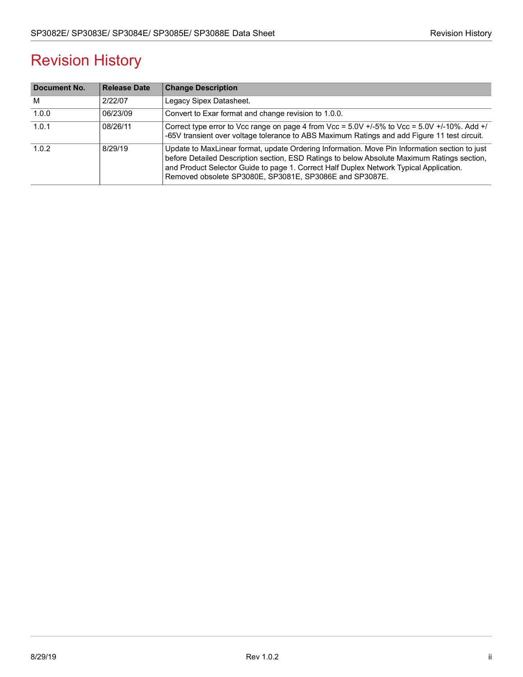# Revision History

| Document No. | <b>Release Date</b> | <b>Change Description</b>                                                                                                                                                                                                                                                                                                                         |
|--------------|---------------------|---------------------------------------------------------------------------------------------------------------------------------------------------------------------------------------------------------------------------------------------------------------------------------------------------------------------------------------------------|
| M            | 2/22/07             | Legacy Sipex Datasheet.                                                                                                                                                                                                                                                                                                                           |
| 1.0.0        | 06/23/09            | Convert to Exar format and change revision to 1.0.0.                                                                                                                                                                                                                                                                                              |
| 1.0.1        | 08/26/11            | Correct type error to Vcc range on page 4 from Vcc = $5.0V +1.5\%$ to Vcc = $5.0V +1.10\%$ . Add $+1$<br>-65V transient over voltage tolerance to ABS Maximum Ratings and add Figure 11 test circuit.                                                                                                                                             |
| 1.0.2        | 8/29/19             | Update to MaxLinear format, update Ordering Information. Move Pin Information section to just<br>before Detailed Description section, ESD Ratings to below Absolute Maximum Ratings section,<br>and Product Selector Guide to page 1. Correct Half Duplex Network Typical Application.<br>Removed obsolete SP3080E, SP3081E, SP3086E and SP3087E. |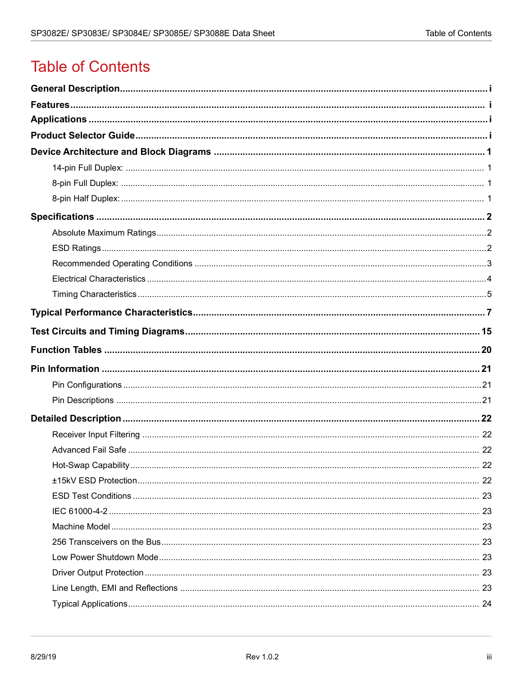# **Table of Contents**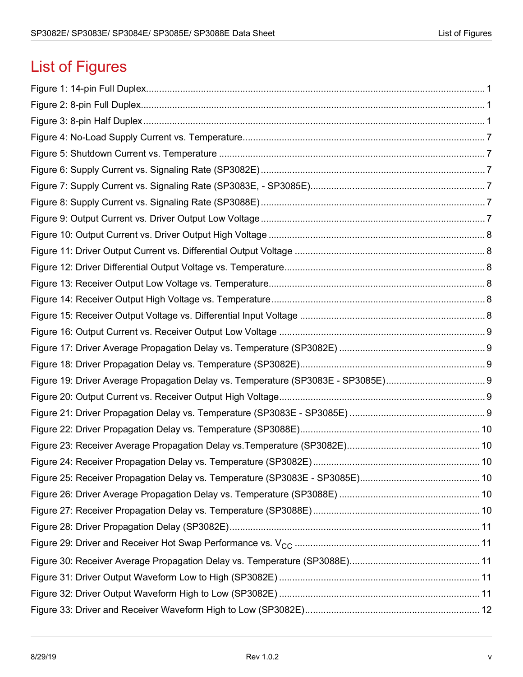# List of Figures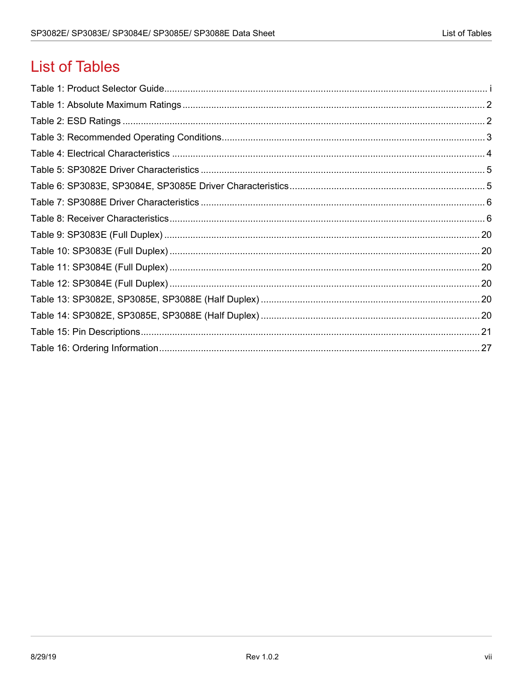# **List of Tables**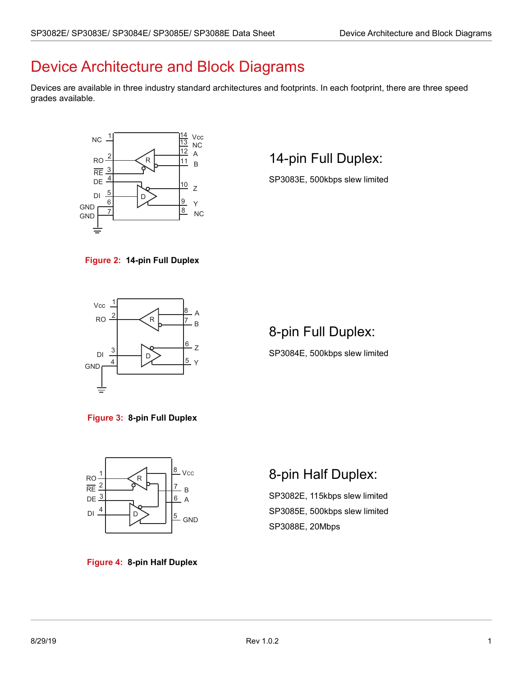# <span id="page-7-0"></span>Device Architecture and Block Diagrams

Devices are available in three industry standard architectures and footprints. In each footprint, there are three speed grades available.



## <span id="page-7-1"></span>14-pin Full Duplex:

SP3083E, 500kbps slew limited

<span id="page-7-4"></span>



### <span id="page-7-2"></span>8-pin Full Duplex:

SP3084E, 500kbps slew limited

<span id="page-7-5"></span>**Figure 3: 8-pin Full Duplex**



#### <span id="page-7-6"></span>**Figure 4: 8-pin Half Duplex**

### <span id="page-7-3"></span>8-pin Half Duplex:

SP3082E, 115kbps slew limited SP3085E, 500kbps slew limited SP3088E, 20Mbps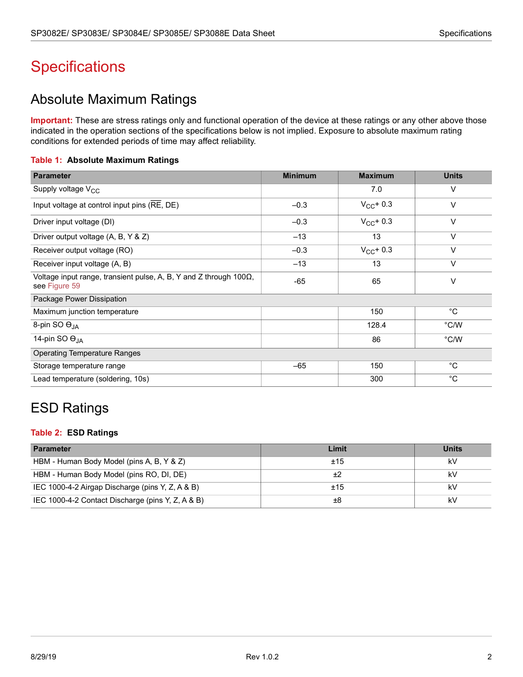# <span id="page-8-0"></span>**Specifications**

### <span id="page-8-1"></span>Absolute Maximum Ratings

**Important:** These are stress ratings only and functional operation of the device at these ratings or any other above those indicated in the operation sections of the specifications below is not implied. Exposure to absolute maximum rating conditions for extended periods of time may affect reliability.

#### <span id="page-8-3"></span>**Table 1: Absolute Maximum Ratings**

| <b>Parameter</b>                                                                            | <b>Minimum</b> | <b>Maximum</b> | <b>Units</b> |
|---------------------------------------------------------------------------------------------|----------------|----------------|--------------|
| Supply voltage $V_{CC}$                                                                     |                | 7.0            | V            |
| Input voltage at control input pins (RE, DE)                                                | $-0.3$         | $V_{CC}$ + 0.3 | $\vee$       |
| Driver input voltage (DI)                                                                   | $-0.3$         | $V_{CC}$ + 0.3 | $\vee$       |
| Driver output voltage (A, B, Y & Z)                                                         | $-13$          | 13             | $\vee$       |
| Receiver output voltage (RO)                                                                | $-0.3$         | $V_{CC}$ + 0.3 | $\vee$       |
| Receiver input voltage (A, B)                                                               | $-13$          | 13             | $\vee$       |
| Voltage input range, transient pulse, A, B, Y and Z through 100 $\Omega$ ,<br>see Figure 59 | $-65$          | 65             | V            |
| Package Power Dissipation                                                                   |                |                |              |
| Maximum junction temperature                                                                |                | 150            | $^{\circ}$ C |
| 8-pin SO OJA                                                                                |                | 128.4          | °C/W         |
| 14-pin SO $\Theta_{JA}$                                                                     |                | 86             | °C/W         |
| <b>Operating Temperature Ranges</b>                                                         |                |                |              |
| Storage temperature range                                                                   | $-65$          | 150            | °C           |
| Lead temperature (soldering, 10s)                                                           |                | 300            | $^{\circ}C$  |

### <span id="page-8-2"></span>ESD Ratings

#### <span id="page-8-4"></span>**Table 2: ESD Ratings**

| <b>Parameter</b>                                  | Limit | <b>Units</b> |
|---------------------------------------------------|-------|--------------|
| HBM - Human Body Model (pins A, B, Y & Z)         | ±15   | k٧           |
| HBM - Human Body Model (pins RO, DI, DE)          |       | k٧           |
| IEC 1000-4-2 Airgap Discharge (pins Y, Z, A & B)  | ±15   | kV           |
| IEC 1000-4-2 Contact Discharge (pins Y, Z, A & B) | ±8    | k٧           |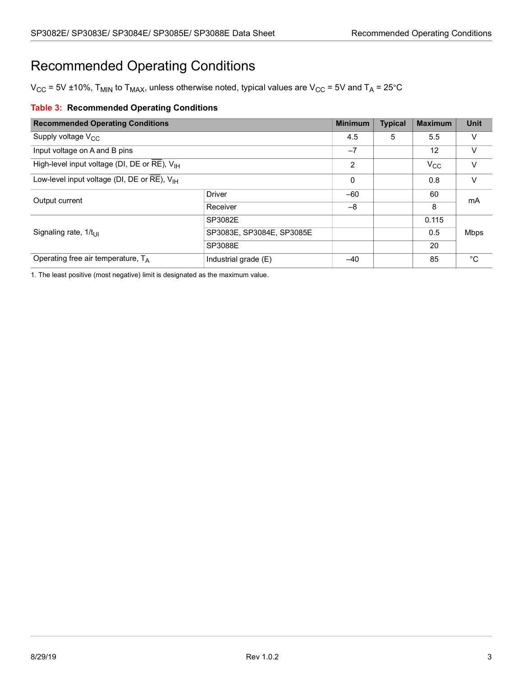# <span id="page-9-0"></span>Recommended Operating Conditions

 $V_{CC}$  = 5V ±10%, T<sub>MIN</sub> to T<sub>MAX</sub>, unless otherwise noted, typical values are V<sub>CC</sub> = 5V and T<sub>A</sub> = 25°C

### <span id="page-9-1"></span>**Table 3: Recommended Operating Conditions**

| <b>Recommended Operating Conditions</b>                                      |                           | <b>Minimum</b> | <b>Typical</b> | <b>Maximum</b> | <b>Unit</b> |
|------------------------------------------------------------------------------|---------------------------|----------------|----------------|----------------|-------------|
| Supply voltage $V_{CC}$                                                      |                           |                | 5              | 5.5            | V           |
| Input voltage on A and B pins                                                |                           | $-7$           |                | 12             | $\vee$      |
| High-level input voltage (DI, DE or RE), $V_{\text{H}}$                      |                           | 2              |                | $V_{\rm CC}$   | V           |
| Low-level input voltage (DI, DE or $\overline{\text{RE}}$ ), $V_{\text{IH}}$ |                           | 0              |                | 0.8            | V           |
| Output current                                                               | <b>Driver</b>             | $-60$          |                | 60             | mA          |
|                                                                              | Receiver                  | -8             |                | 8              |             |
|                                                                              | SP3082E                   |                |                | 0.115          |             |
| Signaling rate, $1/t_{\text{LH}}$                                            | SP3083E, SP3084E, SP3085E |                |                | 0.5            | <b>Mbps</b> |
|                                                                              | SP3088E                   |                |                | 20             |             |
| Operating free air temperature, $T_A$                                        | Industrial grade (E)      | $-40$          |                | 85             | °С          |

1. The least positive (most negative) limit is designated as the maximum value.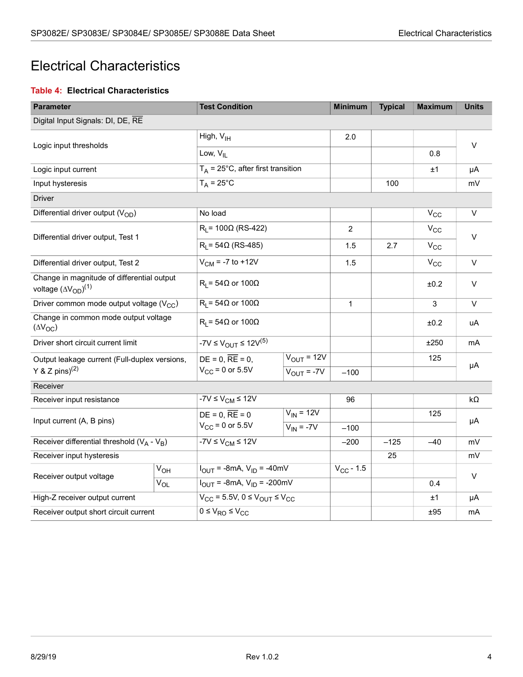### <span id="page-10-0"></span>Electrical Characteristics

### <span id="page-10-1"></span>**Table 4: Electrical Characteristics**

| <b>Parameter</b>                                                              |                                  | <b>Test Condition</b>                               |                 | <b>Minimum</b> | <b>Typical</b> | <b>Maximum</b> | <b>Units</b> |  |
|-------------------------------------------------------------------------------|----------------------------------|-----------------------------------------------------|-----------------|----------------|----------------|----------------|--------------|--|
| Digital Input Signals: DI, DE, RE                                             |                                  |                                                     |                 |                |                |                |              |  |
|                                                                               |                                  | High, V <sub>IH</sub>                               |                 | 2.0            |                |                |              |  |
| Logic input thresholds                                                        |                                  | Low, $V_{II}$                                       |                 |                |                | 0.8            | $\vee$       |  |
| Logic input current                                                           |                                  | $T_A$ = 25°C, after first transition                |                 |                | ±1             | μA             |              |  |
| Input hysteresis                                                              |                                  | $T_A = 25^{\circ}$ C                                |                 |                | 100            |                | mV           |  |
| <b>Driver</b>                                                                 |                                  |                                                     |                 |                |                |                |              |  |
| Differential driver output $(V_{OD})$                                         |                                  | No load                                             |                 |                |                | $V_{CC}$       | $\vee$       |  |
|                                                                               |                                  | $R_L$ = 100 $\Omega$ (RS-422)                       |                 | $\overline{2}$ |                | $V_{CC}$       |              |  |
| Differential driver output, Test 1                                            |                                  | $R_1 = 54 \Omega$ (RS-485)                          |                 | 1.5            | 2.7            | $V_{CC}$       | $\vee$       |  |
| Differential driver output, Test 2                                            |                                  | $V_{CM}$ = -7 to +12V                               |                 | 1.5            |                | $V_{CC}$       | $\vee$       |  |
| Change in magnitude of differential output<br>voltage $(\Delta V_{OD})^{(1)}$ | $R_1 = 54\Omega$ or 100 $\Omega$ |                                                     |                 |                | ±0.2           | $\vee$         |              |  |
| Driver common mode output voltage $(V_{CC})$                                  |                                  | $R_1 = 54 \Omega$ or 100 $\Omega$                   |                 | $\mathbf{1}$   |                | 3              | $\vee$       |  |
| Change in common mode output voltage<br>$(\Delta V_{OC})$                     |                                  | $R_1 = 54\Omega$ or 100 $\Omega$                    |                 |                |                | ±0.2           | uA           |  |
| Driver short circuit current limit                                            |                                  | -7V ≤ V <sub>OUT</sub> ≤ 12V <sup>(5)</sup>         |                 |                |                | ±250           | mA           |  |
| Output leakage current (Full-duplex versions,                                 |                                  | $DE = 0$ , $RE = 0$ ,                               | $V_{OUT} = 12V$ |                |                | 125            |              |  |
| Y & Z pins) <sup>(2)</sup>                                                    |                                  | $V_{CC}$ = 0 or 5.5V                                | $V_{OUT} = -7V$ | $-100$         |                |                | μA           |  |
| Receiver                                                                      |                                  |                                                     |                 |                |                |                |              |  |
| Receiver input resistance                                                     |                                  | $-7V \leq V_{CM} \leq 12V$                          |                 | 96             |                |                | $k\Omega$    |  |
| Input current (A, B pins)                                                     |                                  | $DE = 0$ , $RE = 0$                                 | $V_{IN} = 12V$  |                |                | 125            | μA           |  |
|                                                                               |                                  | $V_{CC}$ = 0 or 5.5V                                | $V_{IN} = -7V$  | $-100$         |                |                |              |  |
| Receiver differential threshold $(V_A - V_B)$                                 |                                  | $-7V \leq V_{CM} \leq 12V$                          |                 | $-200$         | $-125$         | $-40$          | mV           |  |
| Receiver input hysteresis                                                     |                                  |                                                     |                 |                | 25             |                | mV           |  |
| Receiver output voltage                                                       | $V_{OH}$                         | $I_{OUT}$ = -8mA, $V_{ID}$ = -40mV                  |                 | $V_{CC}$ - 1.5 |                |                | V            |  |
|                                                                               | $V_{OL}$                         | $I_{\text{OUT}}$ = -8mA, $V_{\text{ID}}$ = -200mV   |                 |                |                | 0.4            |              |  |
| High-Z receiver output current                                                |                                  | $V_{CC}$ = 5.5V, 0 $\leq$ $V_{OUT}$ $\leq$ $V_{CC}$ |                 |                |                | ±1             | μA           |  |
| Receiver output short circuit current                                         |                                  | $\overline{0 \le V_{RO}} \le V_{CC}$                |                 |                |                | ±95            | mA           |  |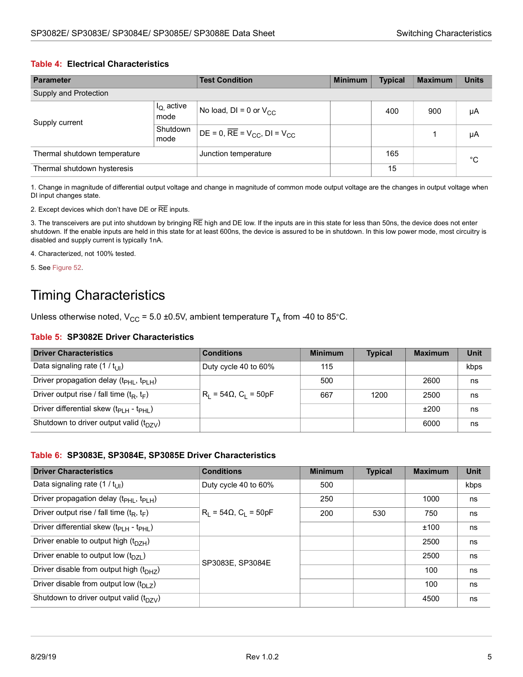#### **Table 4: Electrical Characteristics**

| <b>Parameter</b>             |                        | <b>Test Condition</b>                    | <b>Minimum</b> | <b>Typical</b> | <b>Maximum</b> | <b>Units</b> |
|------------------------------|------------------------|------------------------------------------|----------------|----------------|----------------|--------------|
| Supply and Protection        |                        |                                          |                |                |                |              |
| Supply current               | $I_{Q}$ active<br>mode | No load, DI = 0 or $V_{CC}$              |                | 400            | 900            | μA           |
|                              | Shutdown<br>mode       | $DE = 0$ , $RE = V_{CC}$ , $DI = V_{CC}$ |                |                |                | μA           |
| Thermal shutdown temperature |                        | Junction temperature                     |                | 165            |                | °C           |
| Thermal shutdown hysteresis  |                        |                                          |                | 15             |                |              |

1. Change in magnitude of differential output voltage and change in magnitude of common mode output voltage are the changes in output voltage when DI input changes state.

2. Except devices which don't have DE or RE inputs.

3. The transceivers are put into shutdown by bringing RE high and DE low. If the inputs are in this state for less than 50ns, the device does not enter shutdown. If the enable inputs are held in this state for at least 600ns, the device is assured to be in shutdown. In this low power mode, most circuitry is disabled and supply current is typically 1nA.

4. Characterized, not 100% tested.

5. See [Figure 52](#page-22-0).

### <span id="page-11-0"></span>Timing Characteristics

Unless otherwise noted,  $V_{CC}$  = 5.0 ±0.5V, ambient temperature T<sub>A</sub> from -40 to 85°C.

#### <span id="page-11-1"></span>**Table 5: SP3082E Driver Characteristics**

| <b>Driver Characteristics</b>                                | <b>Conditions</b>               | <b>Minimum</b> | <b>Typical</b> | <b>Maximum</b> | <b>Unit</b> |
|--------------------------------------------------------------|---------------------------------|----------------|----------------|----------------|-------------|
| Data signaling rate $(1 / t_{\text{III}})$                   | Duty cycle 40 to 60%            | 115            |                |                | kbps        |
| Driver propagation delay $(t_{PHL}, t_{PLH})$                |                                 | 500            |                | 2600           | ns          |
| Driver output rise / fall time $(t_R, t_F)$                  | $R_1 = 54\Omega$ , $C_1 = 50pF$ | 667            | 1200           | 2500           | ns          |
| Driver differential skew $(t_{\text{PLH}} - t_{\text{PHL}})$ |                                 |                |                | ±200           | ns          |
| Shutdown to driver output valid $(t_{DZV})$                  |                                 |                |                | 6000           | ns          |

#### <span id="page-11-2"></span>**Table 6: SP3083E, SP3084E, SP3085E Driver Characteristics**

| <b>Driver Characteristics</b>                                   | <b>Conditions</b>               | <b>Minimum</b> | <b>Typical</b> | <b>Maximum</b> | <b>Unit</b> |
|-----------------------------------------------------------------|---------------------------------|----------------|----------------|----------------|-------------|
| Data signaling rate $(1 / t_{\text{III}})$                      | Duty cycle 40 to 60%            | 500            |                |                | kbps        |
| Driver propagation delay (t <sub>PHL</sub> , t <sub>PLH</sub> ) |                                 | 250            |                | 1000           | ns          |
| Driver output rise / fall time $(t_R, t_F)$                     | $R_1 = 54\Omega$ , $C_1 = 50pF$ | 200            | 530            | 750            | ns          |
| Driver differential skew (t <sub>PLH</sub> - t <sub>PHL</sub> ) |                                 |                |                | ±100           | ns          |
| Driver enable to output high $(t_{DZH})$                        |                                 |                |                | 2500           | ns          |
| Driver enable to output low $(t_{DZI})$                         | SP3083E, SP3084E                |                |                | 2500           | ns          |
| Driver disable from output high (t <sub>DHZ</sub> )             |                                 |                |                | 100            | ns          |
| Driver disable from output low $(t_{D1}$ z)                     |                                 |                |                | 100            | ns          |
| Shutdown to driver output valid $(t_{DZV})$                     |                                 |                |                | 4500           | ns          |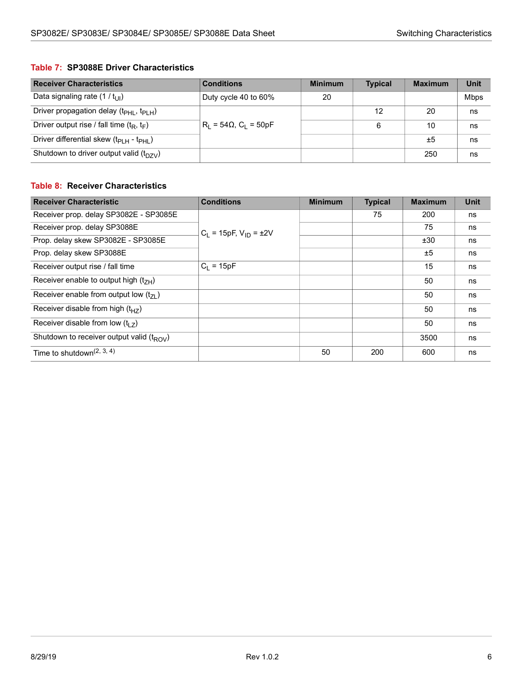#### <span id="page-12-0"></span>**Table 7: SP3088E Driver Characteristics**

| <b>Receiver Characteristics</b>                | <b>Conditions</b>                        | <b>Minimum</b> | <b>Typical</b> | <b>Maximum</b> | <b>Unit</b> |
|------------------------------------------------|------------------------------------------|----------------|----------------|----------------|-------------|
| Data signaling rate $(1 / t_{\text{UL}})$      | Duty cycle 40 to 60%                     | 20             |                |                | <b>Mbps</b> |
| Driver propagation delay $(t_{PHI}, t_{PIH})$  |                                          |                | 12             | 20             | ns          |
| Driver output rise / fall time $(t_R, t_F)$    | $R_1 = 54\Omega$ , C <sub>1</sub> = 50pF |                | 6              | 10             | ns          |
| Driver differential skew $(t_{PIH} - t_{PHH})$ |                                          |                |                | ±5             | ns          |
| Shutdown to driver output valid $(t_{DZV})$    |                                          |                |                | 250            | ns          |

#### <span id="page-12-1"></span>**Table 8: Receiver Characteristics**

| <b>Receiver Characteristic</b>                     | <b>Conditions</b>             | <b>Minimum</b> | <b>Typical</b> | <b>Maximum</b> | <b>Unit</b> |
|----------------------------------------------------|-------------------------------|----------------|----------------|----------------|-------------|
| Receiver prop. delay SP3082E - SP3085E             |                               |                | 75             | 200            | ns          |
| Receiver prop. delay SP3088E                       | $C_1 = 15pF, V_{1D} = \pm 2V$ |                |                | 75             | ns          |
| Prop. delay skew SP3082E - SP3085E                 |                               |                |                | ±30            | ns          |
| Prop. delay skew SP3088E                           |                               |                |                | ±5             | ns          |
| Receiver output rise / fall time                   | $C_1 = 15pF$                  |                |                | 15             | ns          |
| Receiver enable to output high $(t_{7H})$          |                               |                |                | 50             | ns          |
| Receiver enable from output low $(t_{71})$         |                               |                |                | 50             | ns          |
| Receiver disable from high $(t_{HZ})$              |                               |                |                | 50             | ns          |
| Receiver disable from low $(t1$ ,                  |                               |                |                | 50             | ns          |
| Shutdown to receiver output valid $(t_{\rm ROV})$  |                               |                |                | 3500           | ns          |
| Time to shutdown <sup><math>(2, 3, 4)</math></sup> |                               | 50             | 200            | 600            | ns          |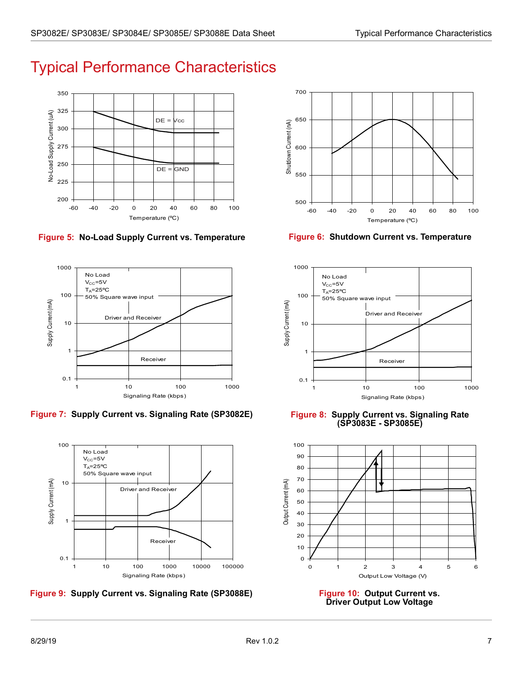# <span id="page-13-0"></span>Typical Performance Characteristics



<span id="page-13-1"></span>**Figure 5: No-Load Supply Current vs. Temperature Figure 6: Shutdown Current vs. Temperature**



<span id="page-13-3"></span>**Figure 7: Supply Current vs. Signaling Rate (SP3082E) Figure 8: Supply Current vs. Signaling Rate** 



<span id="page-13-5"></span>**Figure 9: Supply Current vs. Signaling Rate (SP3088E) Figure 10: Output Current vs.** 



<span id="page-13-2"></span>



<span id="page-13-4"></span>**(SP3083E - SP3085E)**



<span id="page-13-6"></span>**Driver Output Low Voltage**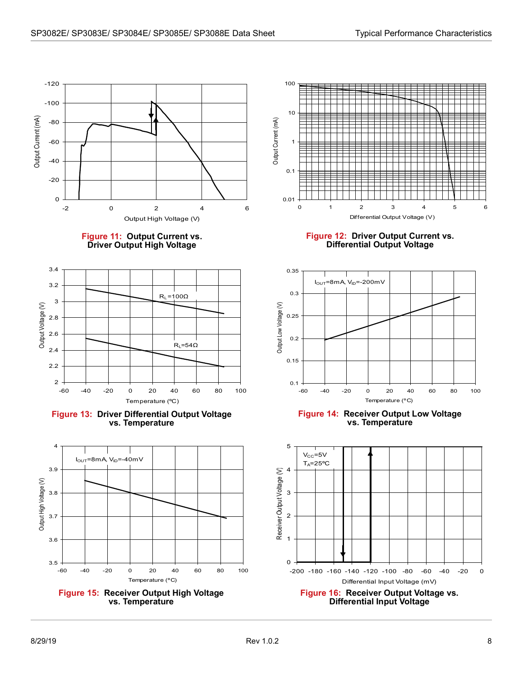



<span id="page-14-0"></span>

<span id="page-14-2"></span>



<span id="page-14-4"></span>



**Figure 12: Driver Output Current vs. Differential Output Voltage**

<span id="page-14-1"></span>

**Figure 14: Receiver Output Low Voltage vs. Temperature**

<span id="page-14-5"></span><span id="page-14-3"></span>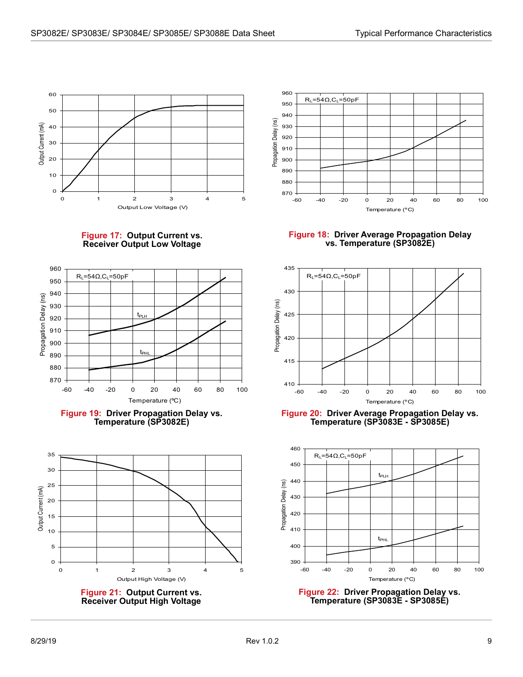



<span id="page-15-0"></span>

<span id="page-15-2"></span>



<span id="page-15-4"></span>



<span id="page-15-1"></span>**Figure 18: Driver Average Propagation Delay vs. Temperature (SP3082E)**



<span id="page-15-3"></span>**Figure 20: Driver Average Propagation Delay vs. Temperature (SP3083E - SP3085E)**



<span id="page-15-5"></span>**Figure 22: Driver Propagation Delay vs. Temperature (SP3083E - SP3085E)**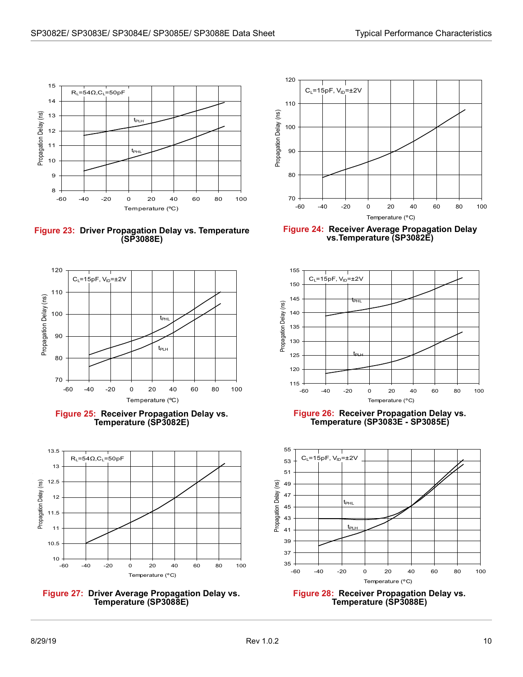

<span id="page-16-0"></span>**Figure 23: Driver Propagation Delay vs. Temperature (SP3088E)**



<span id="page-16-2"></span>



<span id="page-16-4"></span>



<span id="page-16-1"></span>**Figure 24: Receiver Average Propagation Delay vs.Temperature (SP3082E)**



<span id="page-16-3"></span>**Figure 26: Receiver Propagation Delay vs. Temperature (SP3083E - SP3085E)**



<span id="page-16-5"></span>**Figure 28: Receiver Propagation Delay vs. Temperature (SP3088E)**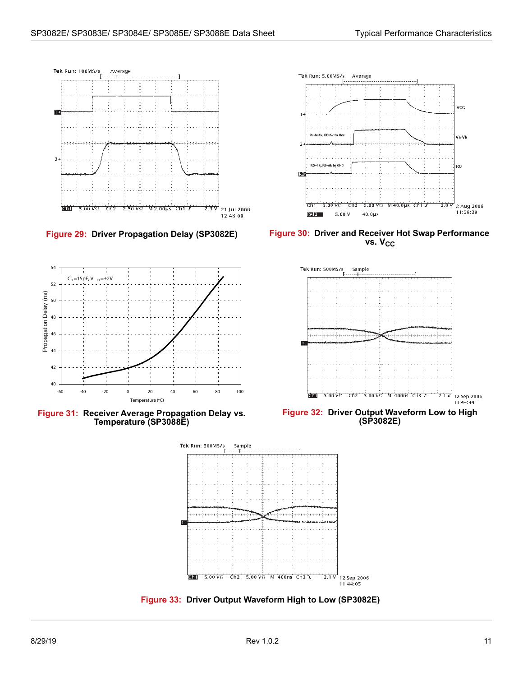



<span id="page-17-2"></span>**Figure 31: Receiver Average Propagation Delay vs. Temperature (SP3088E)**



<span id="page-17-0"></span>**Figure 29: Driver Propagation Delay (SP3082E) Figure 30: Driver and Receiver Hot Swap Performance**  vs. V<sub>CC</sub>

<span id="page-17-1"></span>

<span id="page-17-3"></span>**Figure 32: Driver Output Waveform Low to High (SP3082E)**



<span id="page-17-4"></span>**Figure 33: Driver Output Waveform High to Low (SP3082E)**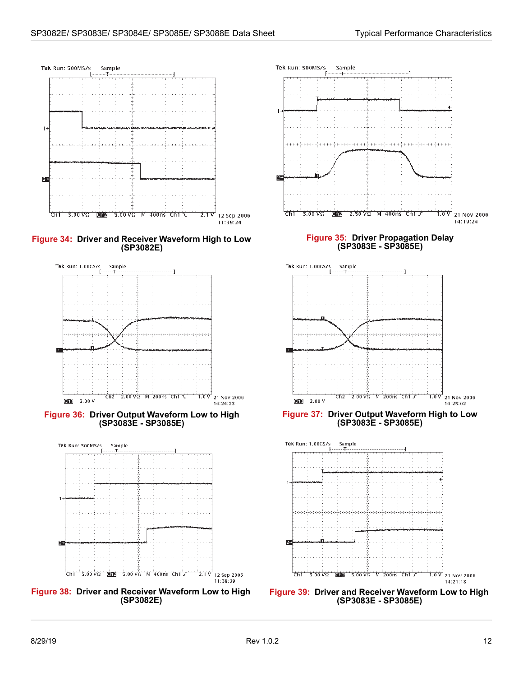<span id="page-18-1"></span><span id="page-18-0"></span>

<span id="page-18-4"></span><span id="page-18-2"></span>**Figure 38: Driver and Receiver Waveform Low to High (SP3082E)**

<span id="page-18-5"></span><span id="page-18-3"></span>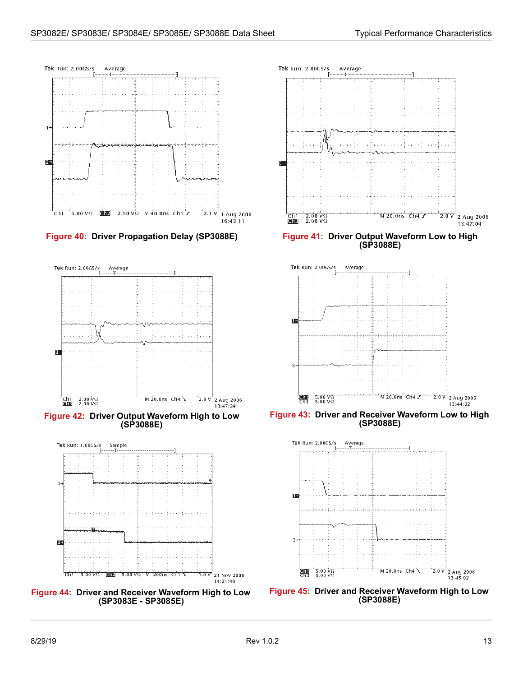

<span id="page-19-0"></span>



<span id="page-19-2"></span>**Figure 42: Driver Output Waveform High to Low (SP3088E)**



<span id="page-19-4"></span>



**Figure 40: Driver Propagation Delay (SP3088E) Figure 41: Driver Output Waveform Low to High (SP3088E)**

<span id="page-19-1"></span>

<span id="page-19-3"></span>**Figure 43: Driver and Receiver Waveform Low to High (SP3088E)**



<span id="page-19-5"></span>**Figure 45: Driver and Receiver Waveform High to Low (SP3088E)**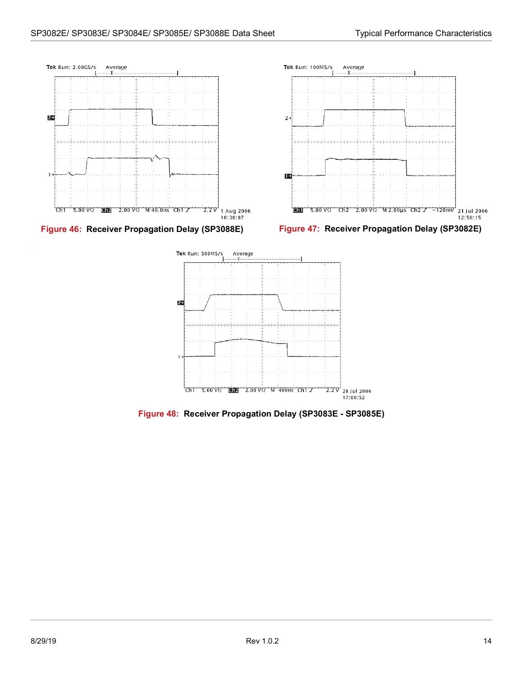

<span id="page-20-1"></span><span id="page-20-0"></span>

<span id="page-20-2"></span>**Figure 48: Receiver Propagation Delay (SP3083E - SP3085E)**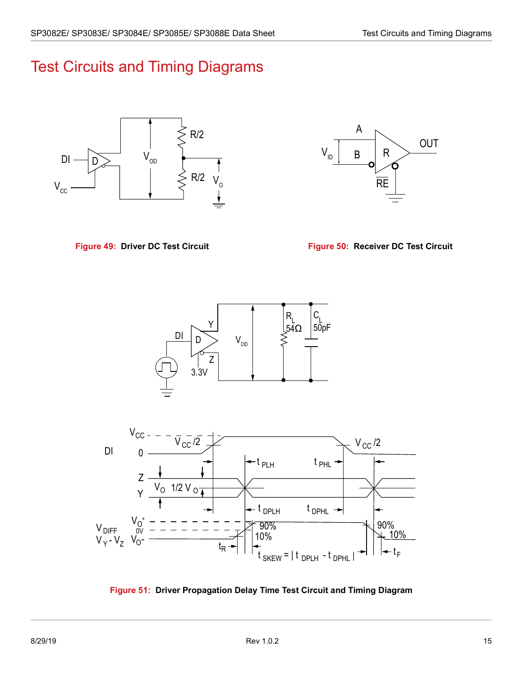## <span id="page-21-0"></span>Test Circuits and Timing Diagrams



<span id="page-21-2"></span>

<span id="page-21-1"></span>**Figure 49: Driver DC Test Circuit Figure 50: Receiver DC Test Circuit**





<span id="page-21-3"></span>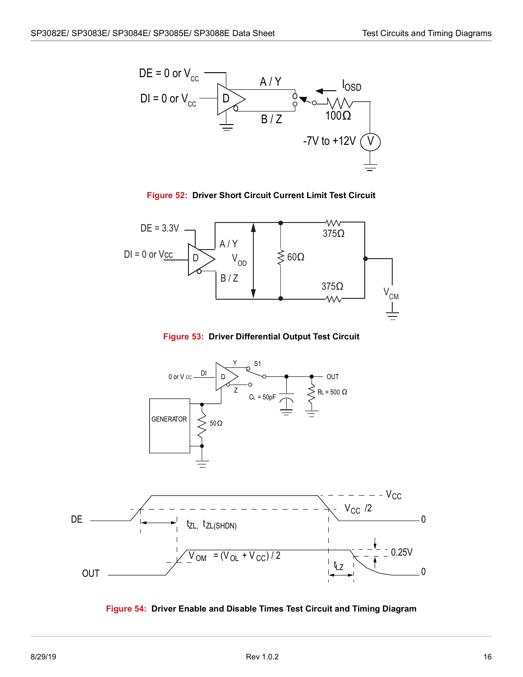



<span id="page-22-0"></span>

**Figure 53: Driver Differential Output Test Circuit**

<span id="page-22-1"></span>

<span id="page-22-2"></span>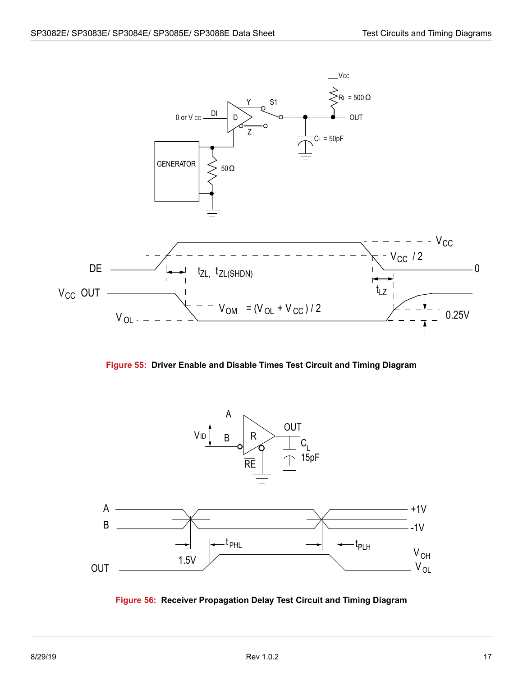

**Figure 55: Driver Enable and Disable Times Test Circuit and Timing Diagram**

<span id="page-23-0"></span>

<span id="page-23-1"></span>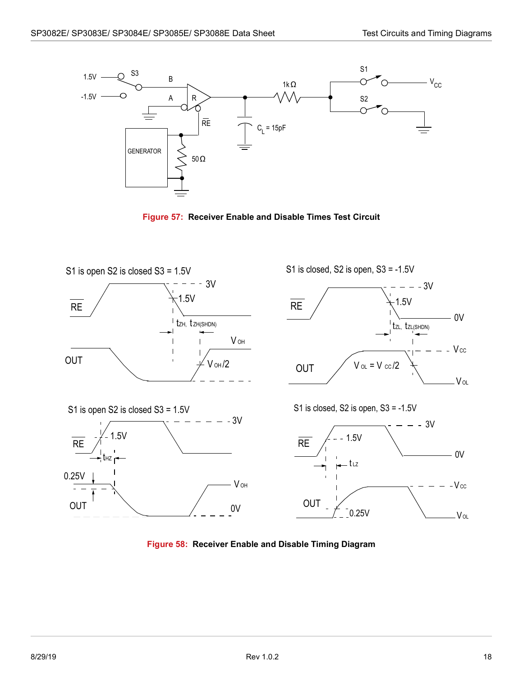

**Figure 57: Receiver Enable and Disable Times Test Circuit**

<span id="page-24-0"></span>

<span id="page-24-1"></span>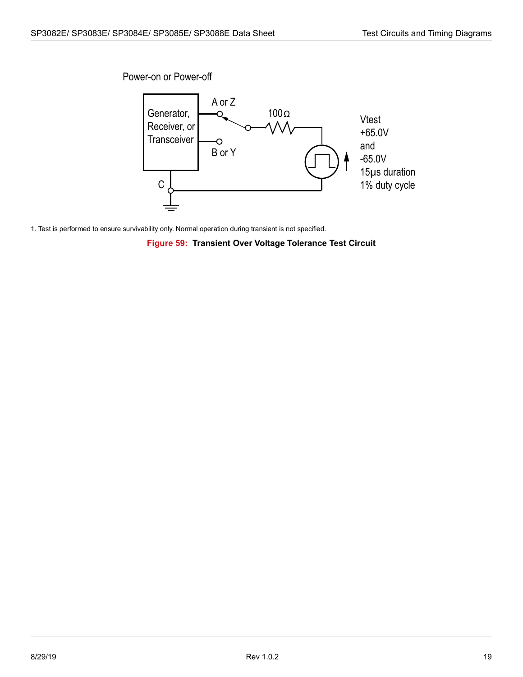Power-on or Power-off



<span id="page-25-0"></span>1. Test is performed to ensure survivability only. Normal operation during transient is not specified.

**Figure 59: Transient Over Voltage Tolerance Test Circuit**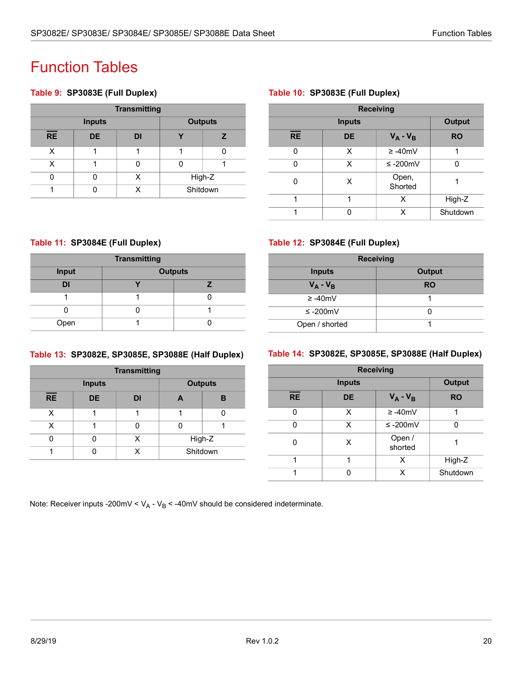# <span id="page-26-0"></span>Function Tables

#### <span id="page-26-1"></span>**Table 9: SP3083E (Full Duplex)**

| <b>Transmitting</b> |               |    |                |  |  |
|---------------------|---------------|----|----------------|--|--|
|                     | <b>Inputs</b> |    | <b>Outputs</b> |  |  |
| <b>RE</b>           | <b>DE</b>     | DI |                |  |  |
| x                   |               |    |                |  |  |
|                     |               |    |                |  |  |
|                     |               |    | High-Z         |  |  |
|                     |               |    | Shitdown       |  |  |

#### <span id="page-26-2"></span>**Table 10: SP3083E (Full Duplex)**

| <b>Receiving</b> |               |                  |           |  |  |
|------------------|---------------|------------------|-----------|--|--|
|                  | <b>Inputs</b> |                  |           |  |  |
| <b>RE</b>        | <b>DE</b>     | $V_A - V_B$      | <b>RO</b> |  |  |
| U                | x             | $\geq -40$ mV    |           |  |  |
| U                | x             | ≤ -200mV         |           |  |  |
| 0                | X             | Open,<br>Shorted |           |  |  |
| 1                | 1             | Χ                | High-Z    |  |  |
|                  | U             | x                | Shutdown  |  |  |

#### <span id="page-26-3"></span>**Table 11: SP3084E (Full Duplex)**

| <b>Transmitting</b> |                |  |  |  |
|---------------------|----------------|--|--|--|
| Input               | <b>Outputs</b> |  |  |  |
| DI                  |                |  |  |  |
|                     |                |  |  |  |
|                     |                |  |  |  |
| Open                |                |  |  |  |

#### <span id="page-26-4"></span>**Table 12: SP3084E (Full Duplex)**

| <b>Receiving</b> |               |  |  |  |
|------------------|---------------|--|--|--|
| <b>Inputs</b>    | <b>Output</b> |  |  |  |
| $V_A - V_B$      | <b>RO</b>     |  |  |  |
| $\geq -40$ mV    |               |  |  |  |
| ≤ -200mV         |               |  |  |  |
| Open / shorted   |               |  |  |  |

#### <span id="page-26-5"></span>**Table 13: SP3082E, SP3085E, SP3088E (Half Duplex)**

| <b>Transmitting</b> |               |    |                |  |  |
|---------------------|---------------|----|----------------|--|--|
|                     | <b>Inputs</b> |    | <b>Outputs</b> |  |  |
| $\overline{RE}$     | <b>DE</b>     | DI | А              |  |  |
| x                   |               |    |                |  |  |
| x                   |               |    |                |  |  |
|                     |               | x  | High-Z         |  |  |
|                     |               |    | Shitdown       |  |  |

#### <span id="page-26-6"></span>**Table 14: SP3082E, SP3085E, SP3088E (Half Duplex)**

| <b>Receiving</b> |               |                   |           |  |  |
|------------------|---------------|-------------------|-----------|--|--|
|                  | <b>Inputs</b> |                   |           |  |  |
| <b>RE</b>        | <b>DE</b>     | $V_A - V_B$       | <b>RO</b> |  |  |
|                  | x             | $\geq -40$ mV     |           |  |  |
|                  | x             | ≤ -200mV          | U         |  |  |
|                  | х             | Open /<br>shorted |           |  |  |
| 4                | 4             | x                 | High-Z    |  |  |
|                  |               | x                 | Shutdown  |  |  |

Note: Receiver inputs -200mV <  $V_A$  -  $V_B$  < -40mV should be considered indeterminate.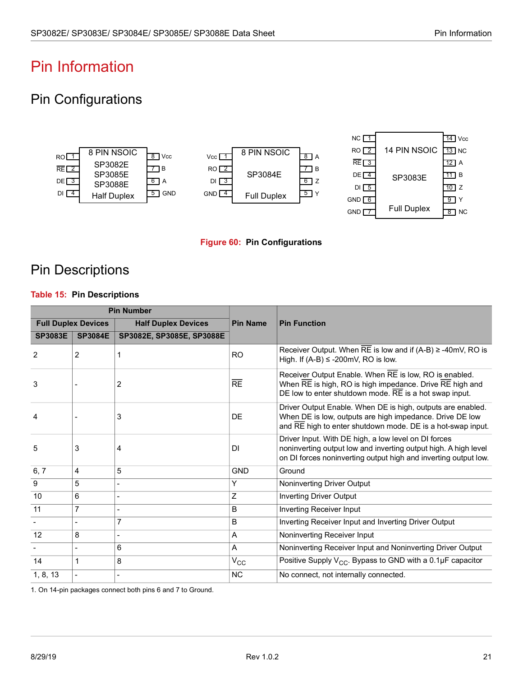# <span id="page-27-0"></span>Pin Information

### <span id="page-27-1"></span>Pin Configurations



#### **Figure 60: Pin Configurations**

### <span id="page-27-3"></span><span id="page-27-2"></span>Pin Descriptions

#### <span id="page-27-4"></span>**Table 15: Pin Descriptions**

| <b>Pin Number</b> |                            |                            |                 |                                                                                                                                                                                            |
|-------------------|----------------------------|----------------------------|-----------------|--------------------------------------------------------------------------------------------------------------------------------------------------------------------------------------------|
|                   | <b>Full Duplex Devices</b> | <b>Half Duplex Devices</b> | <b>Pin Name</b> | <b>Pin Function</b>                                                                                                                                                                        |
| <b>SP3083E</b>    | <b>SP3084E</b>             | SP3082E, SP3085E, SP3088E  |                 |                                                                                                                                                                                            |
| 2                 | 2                          |                            | <b>RO</b>       | Receiver Output. When RE is low and if $(A-B) \ge -40$ mV, RO is<br>High. If $(A-B) \leq -200$ mV, RO is low.                                                                              |
| 3                 |                            | 2                          | $\overline{RE}$ | Receiver Output Enable. When RE is low, RO is enabled.<br>When RE is high, RO is high impedance. Drive RE high and<br>DE low to enter shutdown mode. RE is a hot swap input.               |
| 4                 |                            | 3                          | DE              | Driver Output Enable. When DE is high, outputs are enabled.<br>When DE is low, outputs are high impedance. Drive DE low<br>and RE high to enter shutdown mode. DE is a hot-swap input.     |
| 5                 | 3                          | 4                          | DI              | Driver Input. With DE high, a low level on DI forces<br>noninverting output low and inverting output high. A high level<br>on DI forces noninverting output high and inverting output low. |
| 6, 7              | 4                          | 5                          | <b>GND</b>      | Ground                                                                                                                                                                                     |
| 9                 | 5                          |                            | Υ               | Noninverting Driver Output                                                                                                                                                                 |
| 10                | 6                          |                            | Z               | <b>Inverting Driver Output</b>                                                                                                                                                             |
| 11                | $\overline{7}$             |                            | B               | Inverting Receiver Input                                                                                                                                                                   |
|                   |                            | $\overline{7}$             | B               | Inverting Receiver Input and Inverting Driver Output                                                                                                                                       |
| 12                | 8                          |                            | A               | Noninverting Receiver Input                                                                                                                                                                |
|                   |                            | 6                          | A               | Noninverting Receiver Input and Noninverting Driver Output                                                                                                                                 |
| 14                | 1                          | 8                          | $V_{\rm CC}$    | Positive Supply $V_{CC}$ . Bypass to GND with a 0.1µF capacitor                                                                                                                            |
| 1, 8, 13          |                            |                            | <b>NC</b>       | No connect, not internally connected.                                                                                                                                                      |

1. On 14-pin packages connect both pins 6 and 7 to Ground.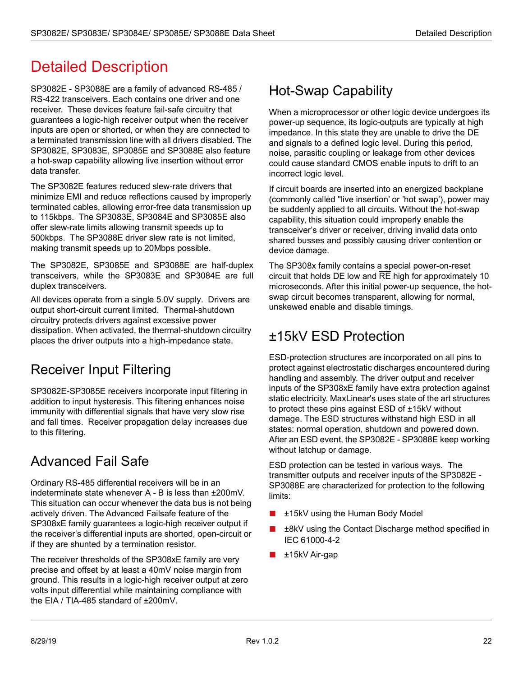# <span id="page-28-0"></span>Detailed Description

SP3082E - SP3088E are a family of advanced RS-485 / RS-422 transceivers. Each contains one driver and one receiver. These devices feature fail-safe circuitry that guarantees a logic-high receiver output when the receiver inputs are open or shorted, or when they are connected to a terminated transmission line with all drivers disabled. The SP3082E, SP3083E, SP3085E and SP3088E also feature a hot-swap capability allowing live insertion without error data transfer.

The SP3082E features reduced slew-rate drivers that minimize EMI and reduce reflections caused by improperly terminated cables, allowing error-free data transmission up to 115kbps. The SP3083E, SP3084E and SP3085E also offer slew-rate limits allowing transmit speeds up to 500kbps. The SP3088E driver slew rate is not limited, making transmit speeds up to 20Mbps possible.

The SP3082E, SP3085E and SP3088E are half-duplex transceivers, while the SP3083E and SP3084E are full duplex transceivers.

All devices operate from a single 5.0V supply. Drivers are output short-circuit current limited. Thermal-shutdown circuitry protects drivers against excessive power dissipation. When activated, the thermal-shutdown circuitry places the driver outputs into a high-impedance state.

### <span id="page-28-1"></span>Receiver Input Filtering

SP3082E-SP3085E receivers incorporate input filtering in addition to input hysteresis. This filtering enhances noise immunity with differential signals that have very slow rise and fall times. Receiver propagation delay increases due to this filtering.

### <span id="page-28-2"></span>Advanced Fail Safe

Ordinary RS-485 differential receivers will be in an indeterminate state whenever A - B is less than ±200mV. This situation can occur whenever the data bus is not being actively driven. The Advanced Failsafe feature of the SP308xE family guarantees a logic-high receiver output if the receiver's differential inputs are shorted, open-circuit or if they are shunted by a termination resistor.

The receiver thresholds of the SP308xE family are very precise and offset by at least a 40mV noise margin from ground. This results in a logic-high receiver output at zero volts input differential while maintaining compliance with the EIA / TIA-485 standard of ±200mV.

### <span id="page-28-3"></span>Hot-Swap Capability

When a microprocessor or other logic device undergoes its power-up sequence, its logic-outputs are typically at high impedance. In this state they are unable to drive the DE and signals to a defined logic level. During this period, noise, parasitic coupling or leakage from other devices could cause standard CMOS enable inputs to drift to an incorrect logic level.

If circuit boards are inserted into an energized backplane (commonly called "live insertion' or 'hot swap'), power may be suddenly applied to all circuits. Without the hot-swap capability, this situation could improperly enable the transceiver's driver or receiver, driving invalid data onto shared busses and possibly causing driver contention or device damage.

The SP308x family contains a special power-on-reset circuit that holds DE low and RE high for approximately 10 microseconds. After this initial power-up sequence, the hotswap circuit becomes transparent, allowing for normal, unskewed enable and disable timings.

### <span id="page-28-4"></span>±15kV ESD Protection

ESD-protection structures are incorporated on all pins to protect against electrostatic discharges encountered during handling and assembly. The driver output and receiver inputs of the SP308xE family have extra protection against static electricity. MaxLinear's uses state of the art structures to protect these pins against ESD of ±15kV without damage. The ESD structures withstand high ESD in all states: normal operation, shutdown and powered down. After an ESD event, the SP3082E - SP3088E keep working without latchup or damage.

ESD protection can be tested in various ways. The transmitter outputs and receiver inputs of the SP3082E - SP3088E are characterized for protection to the following limits:

- ±15kV using the Human Body Model
- ±8kV using the Contact Discharge method specified in IEC 61000-4-2
- ±15kV Air-gap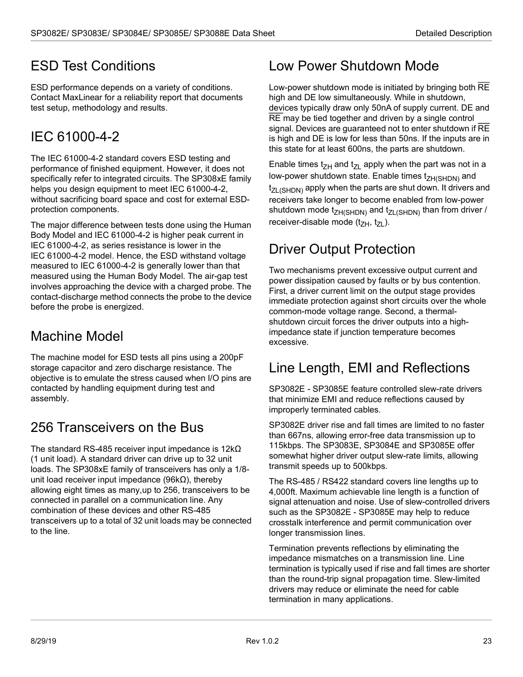### <span id="page-29-0"></span>ESD Test Conditions

ESD performance depends on a variety of conditions. Contact MaxLinear for a reliability report that documents test setup, methodology and results.

# <span id="page-29-1"></span>IEC 61000-4-2

The IEC 61000-4-2 standard covers ESD testing and performance of finished equipment. However, it does not specifically refer to integrated circuits. The SP308xE family helps you design equipment to meet IEC 61000-4-2, without sacrificing board space and cost for external ESDprotection components.

The major difference between tests done using the Human Body Model and IEC 61000-4-2 is higher peak current in IEC 61000-4-2, as series resistance is lower in the IEC 61000-4-2 model. Hence, the ESD withstand voltage measured to IEC 61000-4-2 is generally lower than that measured using the Human Body Model. The air-gap test involves approaching the device with a charged probe. The contact-discharge method connects the probe to the device before the probe is energized.

### <span id="page-29-2"></span>Machine Model

The machine model for ESD tests all pins using a 200pF storage capacitor and zero discharge resistance. The objective is to emulate the stress caused when I/O pins are contacted by handling equipment during test and assembly.

### <span id="page-29-3"></span>256 Transceivers on the Bus

The standard RS-485 receiver input impedance is 12kΩ (1 unit load). A standard driver can drive up to 32 unit loads. The SP308xE family of transceivers has only a 1/8 unit load receiver input impedance ( $96k\Omega$ ), thereby allowing eight times as many,up to 256, transceivers to be connected in parallel on a communication line. Any combination of these devices and other RS-485 transceivers up to a total of 32 unit loads may be connected to the line.

### <span id="page-29-4"></span>Low Power Shutdown Mode

Low-power shutdown mode is initiated by bringing both RE high and DE low simultaneously. While in shutdown, devices typically draw only 50nA of supply current. DE and RE may be tied together and driven by a single control signal. Devices are guaranteed not to enter shutdown if RE is high and DE is low for less than 50ns. If the inputs are in this state for at least 600ns, the parts are shutdown.

Enable times t<sub>ZH</sub> and t<sub>ZL</sub> apply when the part was not in a low-power shutdown state. Enable times  $t_{ZH(SHDN)}$  and  $t_{ZL(SHDN)}$  apply when the parts are shut down. It drivers and receivers take longer to become enabled from low-power shutdown mode  $t_{ZH(SHDN)}$  and  $t_{ZL(SHDN)}$  than from driver / receiver-disable mode  $(t_{ZH}, t_{ZL})$ .

### <span id="page-29-5"></span>Driver Output Protection

Two mechanisms prevent excessive output current and power dissipation caused by faults or by bus contention. First, a driver current limit on the output stage provides immediate protection against short circuits over the whole common-mode voltage range. Second, a thermalshutdown circuit forces the driver outputs into a highimpedance state if junction temperature becomes excessive.

### <span id="page-29-6"></span>Line Length, EMI and Reflections

SP3082E - SP3085E feature controlled slew-rate drivers that minimize EMI and reduce reflections caused by improperly terminated cables.

SP3082E driver rise and fall times are limited to no faster than 667ns, allowing error-free data transmission up to 115kbps. The SP3083E, SP3084E and SP3085E offer somewhat higher driver output slew-rate limits, allowing transmit speeds up to 500kbps.

The RS-485 / RS422 standard covers line lengths up to 4,000ft. Maximum achievable line length is a function of signal attenuation and noise. Use of slew-controlled drivers such as the SP3082E - SP3085E may help to reduce crosstalk interference and permit communication over longer transmission lines.

Termination prevents reflections by eliminating the impedance mismatches on a transmission line. Line termination is typically used if rise and fall times are shorter than the round-trip signal propagation time. Slew-limited drivers may reduce or eliminate the need for cable termination in many applications.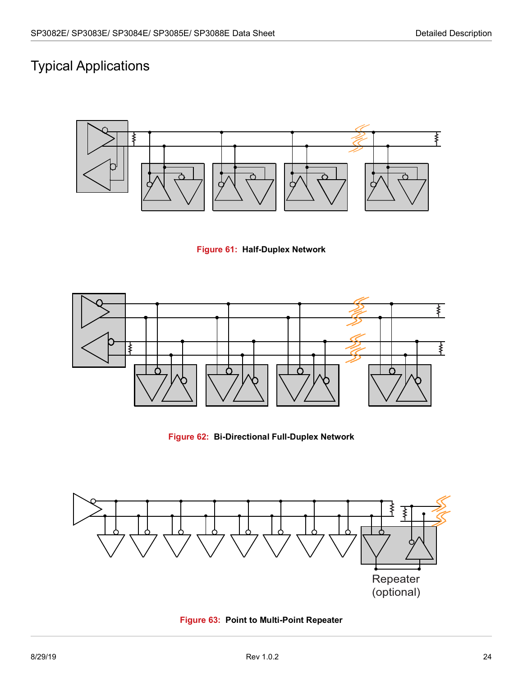### <span id="page-30-0"></span>Typical Applications



**Figure 61: Half-Duplex Network**

<span id="page-30-1"></span>

**Figure 62: Bi-Directional Full-Duplex Network**

<span id="page-30-3"></span><span id="page-30-2"></span>

**Figure 63: Point to Multi-Point Repeater**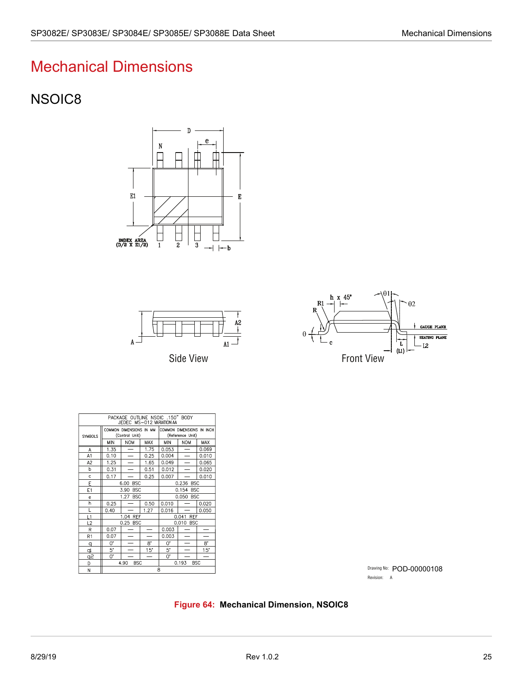# Mechanical Dimensions

### <span id="page-31-0"></span>NSOIC8







| PACKAGE OUTLINE NSOIC .150" BODY<br>JEDEC MS-012 VARIATION AA |                                           |                          |                          |                                               |                     |       |
|---------------------------------------------------------------|-------------------------------------------|--------------------------|--------------------------|-----------------------------------------------|---------------------|-------|
| <b>SYMBOLS</b>                                                | COMMON DIMENSIONS IN MM<br>(Control Unit) |                          |                          | COMMON DIMENSIONS IN INCH<br>(Reference Unit) |                     |       |
|                                                               | MIN                                       | <b>NOM</b>               | MAX                      | MIN                                           | <b>NOM</b>          | MAX   |
| A                                                             | 1.35                                      | $\overline{\phantom{0}}$ | 1.75                     | 0.053                                         | -                   | 0.069 |
| A1                                                            | 0.10                                      |                          | 0.25                     | 0.004                                         |                     | 0.010 |
| A <sub>2</sub>                                                | 1.25                                      |                          | 1.65                     | 0.049                                         |                     | 0.065 |
| b                                                             | 0.31                                      |                          | 0.51                     | 0.012                                         |                     | 0.020 |
| c                                                             | 0.17                                      |                          | 0.25                     | 0.007                                         |                     | 0.010 |
| E                                                             |                                           | <b>BSC</b><br>6.00       |                          | 0.236 BSC                                     |                     |       |
| E1                                                            |                                           | <b>BSC</b><br>3.90       |                          | 0.154<br><b>BSC</b>                           |                     |       |
| e.                                                            |                                           | 1.27<br><b>BSC</b>       |                          | 0.050 BSC                                     |                     |       |
| h                                                             | 0.25                                      |                          | 0.50                     | 0.010                                         |                     | 0.020 |
| L                                                             | 0.40                                      |                          | 1.27                     | 0.016                                         |                     | 0.050 |
| L1                                                            | 1.04 REF                                  |                          |                          |                                               | 0.041<br>REF        |       |
| L2                                                            |                                           | 0.25 BSC                 |                          |                                               | 0.010 BSC           |       |
| $\mathsf{R}$                                                  | 0.07                                      |                          |                          | 0.003                                         |                     |       |
| R1                                                            | 0.07                                      |                          |                          | 0.003                                         |                     |       |
| $\Box$                                                        | 0.                                        |                          | 8.                       | 0.                                            |                     | 8.    |
| qı                                                            | 5.                                        |                          | $15^{\circ}$             | 5.                                            |                     | 15"   |
| <u> Sp</u>                                                    | 0.                                        |                          | $\overline{\phantom{0}}$ | 0.                                            |                     |       |
| D                                                             |                                           | 4.90<br><b>BSC</b>       |                          |                                               | 0.193<br><b>BSC</b> |       |
| N                                                             | 8                                         |                          |                          |                                               |                     |       |

Drawing No: POD-00000108 Revision: A

#### <span id="page-31-1"></span>**Figure 64: Mechanical Dimension, NSOIC8**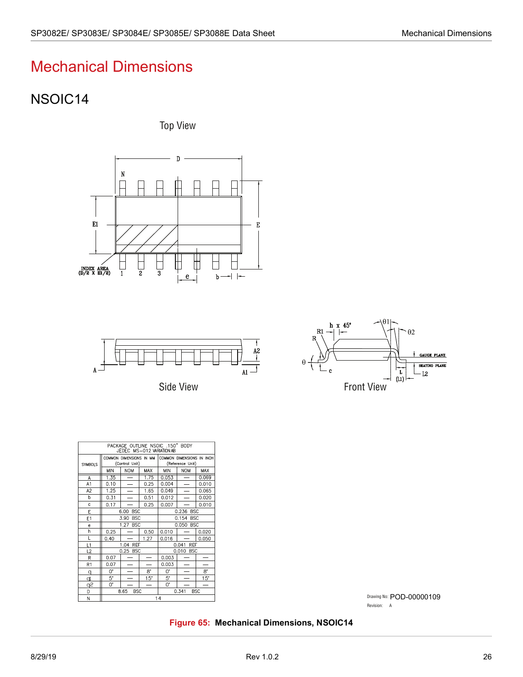# <span id="page-32-0"></span>Mechanical Dimensions

### <span id="page-32-1"></span>NSOIC14

Top View





Side View



| PACKAGE OUTLINE NSOIC .150" BODY<br>JEDEC MS-012 VARIATION AB |                                           |                          |              |                                               |                          |       |  |  |  |
|---------------------------------------------------------------|-------------------------------------------|--------------------------|--------------|-----------------------------------------------|--------------------------|-------|--|--|--|
| SYMBOLS                                                       | COMMON DIMENSIONS IN MM<br>(Control Unit) |                          |              | COMMON DIMENSIONS IN INCH<br>(Reference Unit) |                          |       |  |  |  |
|                                                               | <b>MIN</b>                                | <b>NOM</b>               | MAX          | <b>MIN</b>                                    | <b>NOM</b>               | MAX   |  |  |  |
| A                                                             | 1.35                                      |                          | 1.75         | 0.053                                         |                          | 0.069 |  |  |  |
| A1                                                            | 0.10                                      | —                        | 0.25         | 0.004                                         | $\overline{\phantom{0}}$ | 0.010 |  |  |  |
| A <sub>2</sub>                                                | 1.25                                      | $\overline{\phantom{0}}$ | 1.65         | 0.049                                         |                          | 0.065 |  |  |  |
| b                                                             | 0.31                                      |                          | 0.51         | 0.012                                         |                          | 0.020 |  |  |  |
| c                                                             | 0.17                                      |                          | 0.25         | 0.007                                         |                          | 0.010 |  |  |  |
| E                                                             | <b>BSC</b><br>6.00                        |                          |              | 0.236 BSC                                     |                          |       |  |  |  |
| E1                                                            | 3.90<br><b>BSC</b>                        |                          |              | 0.154 BSC                                     |                          |       |  |  |  |
| e                                                             | 1.27<br><b>BSC</b>                        |                          |              | 0.050 BSC                                     |                          |       |  |  |  |
| h                                                             | 0.25                                      |                          | 0.50         | 0.010                                         |                          | 0.020 |  |  |  |
| L                                                             | 0.40                                      |                          | 1.27         | 0.016                                         |                          | 0.050 |  |  |  |
| L1                                                            | 1.04 REF                                  |                          |              | 0.041<br>REF                                  |                          |       |  |  |  |
| L2                                                            | 0.25 BSC                                  |                          |              | 0.010 BSC                                     |                          |       |  |  |  |
| R                                                             | 0.07                                      |                          |              | 0.003                                         |                          |       |  |  |  |
| R <sub>1</sub>                                                | 0.07                                      |                          |              | 0.003                                         |                          |       |  |  |  |
| q                                                             | 0.                                        |                          | 8.           | Ω.                                            |                          | 8.    |  |  |  |
| q                                                             | 5.                                        |                          | $15^{\circ}$ | 5.                                            |                          | 15"   |  |  |  |
| q2                                                            | 0.                                        |                          |              | 0.                                            |                          |       |  |  |  |
| D                                                             | 8.65<br><b>BSC</b>                        |                          |              | 0.341<br><b>BSC</b>                           |                          |       |  |  |  |
| N                                                             | 14                                        |                          |              |                                               |                          |       |  |  |  |

Drawing No: POD-00000109Revision: A

<span id="page-32-2"></span>**Figure 65: Mechanical Dimensions, NSOIC14**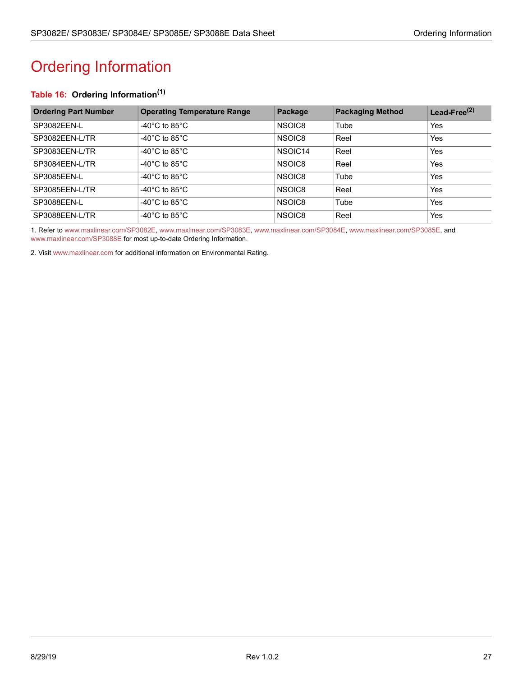# <span id="page-33-1"></span><span id="page-33-0"></span>Ordering Information

### **Table 16: Ordering Information(1)**

| <b>Ordering Part Number</b> | <b>Operating Temperature Range</b>  | Package             | <b>Packaging Method</b> | Lead-Free <sup>(2)</sup> |
|-----------------------------|-------------------------------------|---------------------|-------------------------|--------------------------|
| SP3082FFN-L                 | -40 $^{\circ}$ C to 85 $^{\circ}$ C | NSOIC8              | Tube                    | Yes                      |
| SP3082EEN-L/TR              | -40 $^{\circ}$ C to 85 $^{\circ}$ C | NSOIC8              | Reel                    | Yes                      |
| SP3083EEN-L/TR              | -40 $^{\circ}$ C to 85 $^{\circ}$ C | NSOIC <sub>14</sub> | Reel                    | Yes                      |
| SP3084EEN-L/TR              | -40 $^{\circ}$ C to 85 $^{\circ}$ C | NSOIC8              | Reel                    | Yes                      |
| SP3085EEN-L                 | -40°C to 85°C                       | NSOIC8              | Tube                    | Yes                      |
| SP3085EEN-L/TR              | -40 $^{\circ}$ C to 85 $^{\circ}$ C | NSOIC8              | Reel                    | Yes                      |
| SP3088EEN-L                 | -40 $^{\circ}$ C to 85 $^{\circ}$ C | NSOIC8              | Tube                    | Yes                      |
| SP3088EEN-L/TR              | -40 $^{\circ}$ C to 85 $^{\circ}$ C | NSOIC8              | Reel                    | Yes                      |

1. Refer to [www.maxlinear.com/SP3082E](http://www.maxlinear.com/SP3082E), [www.maxlinear.com/SP3083E](http://www.maxlinear.com/SP3083E),[www.maxlinear.com/SP3084E](http://www.maxlinear.com/SP3084E), [www.maxlinear.com/SP3085E](http://www.maxlinear.com/SP3085E), and [www.maxlinear.com/SP3088E](http://www.maxlinear.com/SP3088E) for most up-to-date Ordering Information.

2. Visit[www.maxlinear.com](http://www.maxlinear.com) for additional information on Environmental Rating.